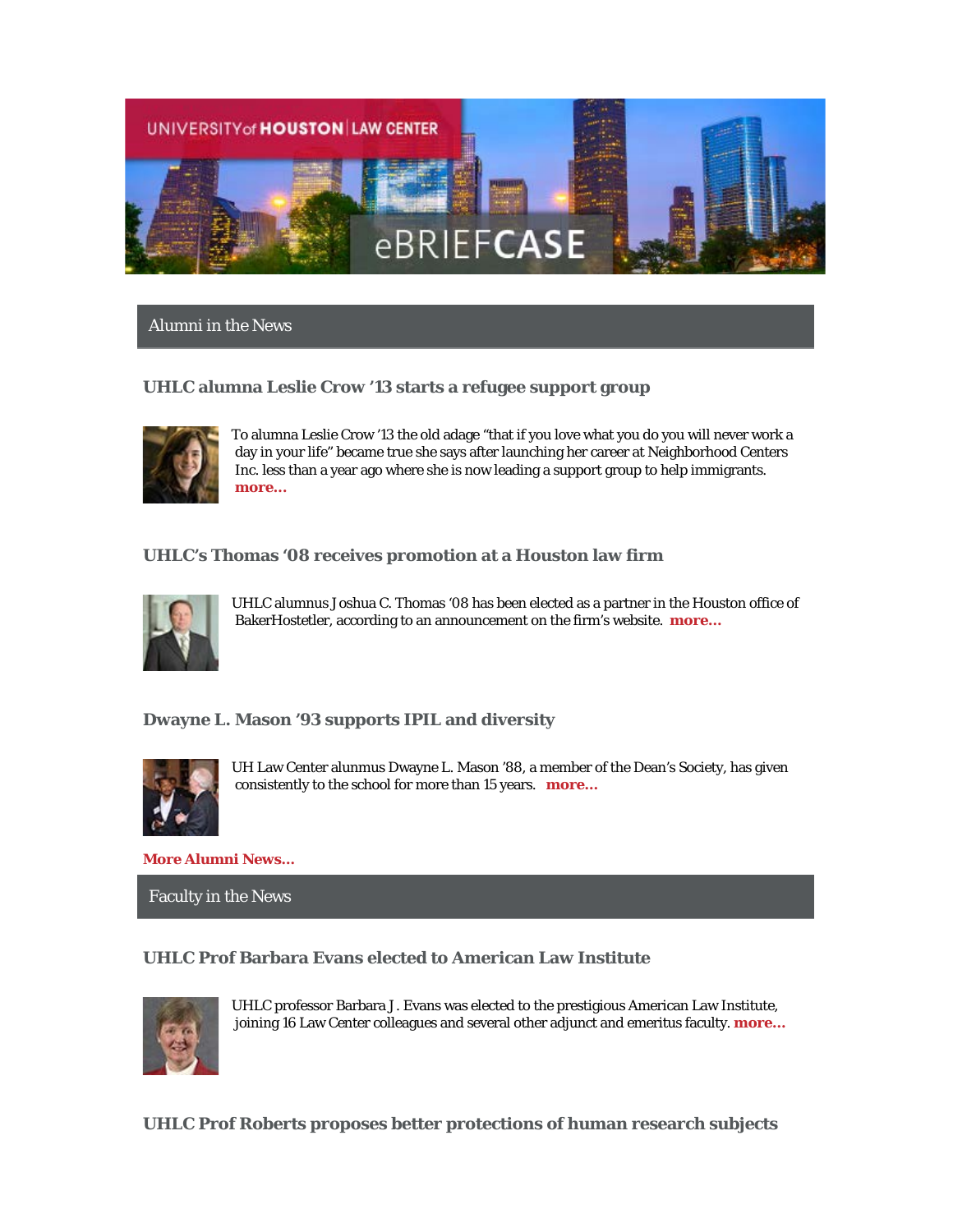

### Alumni in the News

### **UHLC alumna Leslie Crow '13 starts a refugee support group**



To alumna Leslie Crow '13 the old adage "that if you love what you do you will never work a day in your life" became true she says after launching her career at Neighborhood Centers Inc. less than a year ago where she is now leading a support group to help immigrants. **[more...](http://www.law.uh.edu/alumni/Featured-Alumni/2016-0122Crow.asp)**

### **UHLC's Thomas '08 receives promotion at a Houston law firm**



UHLC alumnus Joshua C. Thomas '08 has been elected as a partner in the Houston office of BakerHostetler, according to an announcement on the firm's website. **[more…](http://www.bakerlaw.com/press/bakerhostetler-announces-21-new-partners)**

### **Dwayne L. Mason '93 supports IPIL and diversity**



UH Law Center alunmus Dwayne L. Mason '88, a member of the Dean's Society, has given consistently to the school for more than 15 years. **[more…](http://www.law.uh.edu/news/fall2015/1222Mason.asp)**

**[More Alumni News...](http://www.law.uh.edu/alumni/alumni-in-the-news.asp)**

Faculty in the News

### **UHLC Prof Barbara Evans elected to American Law Institute**



UHLC professor Barbara J. Evans was elected to the prestigious American Law Institute, joining 16 Law Center colleagues and several other adjunct and emeritus faculty. **[more…](http://www.law.uh.edu/news/spring2016/0122Evans.asp)**

**UHLC Prof Roberts proposes better protections of human research subjects**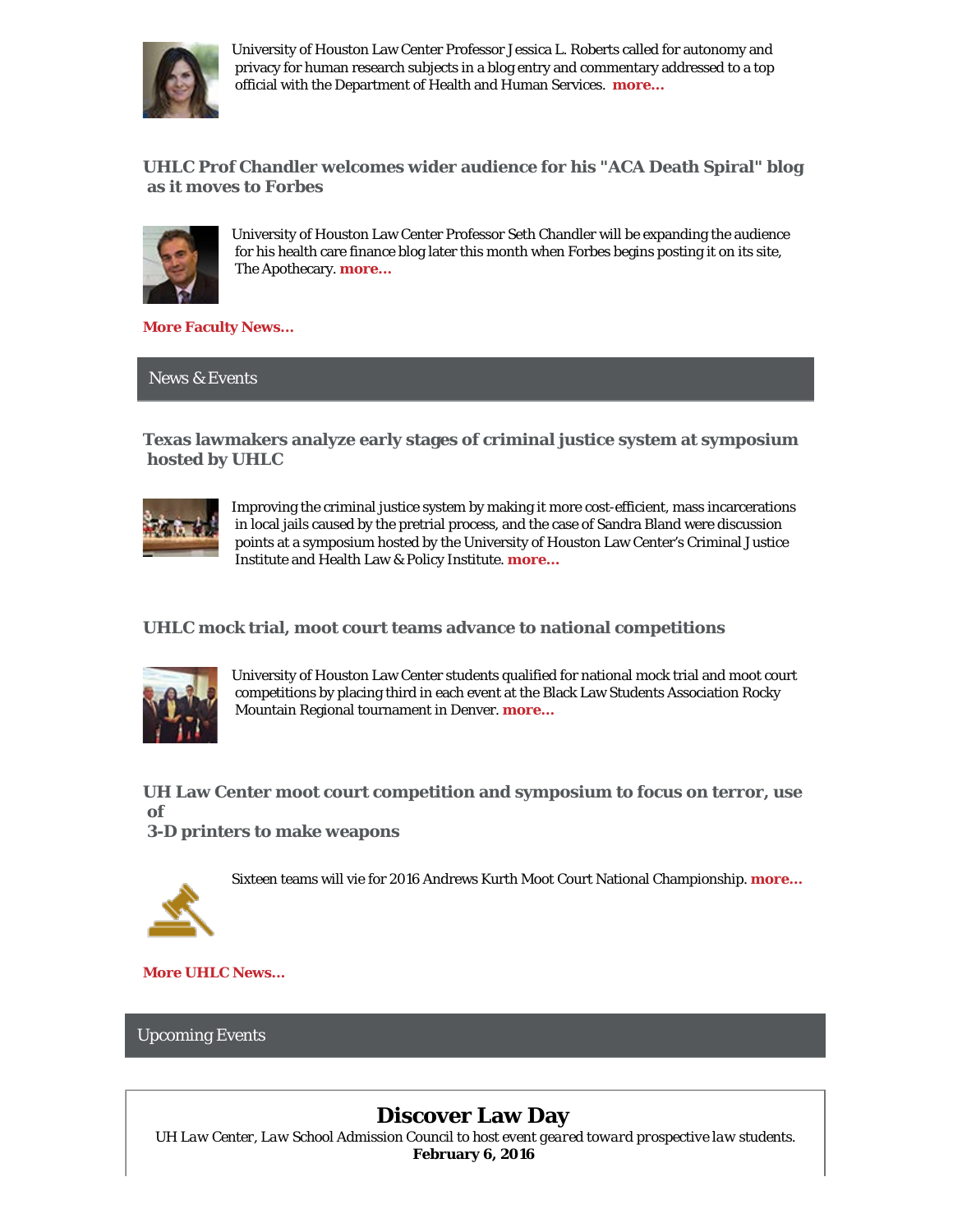

University of Houston Law Center Professor Jessica L. Roberts called for autonomy and privacy for human research subjects in a blog entry and commentary addressed to a top official with the Department of Health and Human Services. **[more...](http://www.law.uh.edu/news/spring2016/0108Common.asp)**

**UHLC Prof Chandler welcomes wider audience for his "ACA Death Spiral" blog as it moves to Forbes**



University of Houston Law Center Professor Seth Chandler will be expanding the audience for his health care finance blog later this month when Forbes begins posting it on its site, The Apothecary. **[more...](http://www.law.uh.edu/news/spring2016/0113chandler.asp)**

**[More Faculty News...](http://www.law.uh.edu/news/uhlc-in-the-news.asp)**

News & Events

**Texas lawmakers analyze early stages of criminal justice system at symposium hosted by UHLC**



Improving the criminal justice system by making it more cost-efficient, mass incarcerations in local jails caused by the pretrial process, and the case of Sandra Bland were discussion points at a symposium hosted by the University of Houston Law Center's Criminal Justice Institute and Health Law & Policy Institute. **[more…](http://www.law.uh.edu/news/spring2016/0125CJI.asp)**

**UHLC mock trial, moot court teams advance to national competitions**



University of Houston Law Center students qualified for national mock trial and moot court competitions by placing third in each event at the Black Law Students Association Rocky Mountain Regional tournament in Denver. **[more…](http://www.law.uh.edu/news/spring2016/0120MootMock.asp)**

**UH Law Center moot court competition and symposium to focus on terror, use of** 

**3-D printers to make weapons**





**[More UHLC News...](http://www.law.uh.edu/news/homepage.asp)**

### Upcoming Events

# **Discover Law Day**

*UH Law Center, Law School Admission Council to host event geared toward prospective law students.* **February 6, 2016**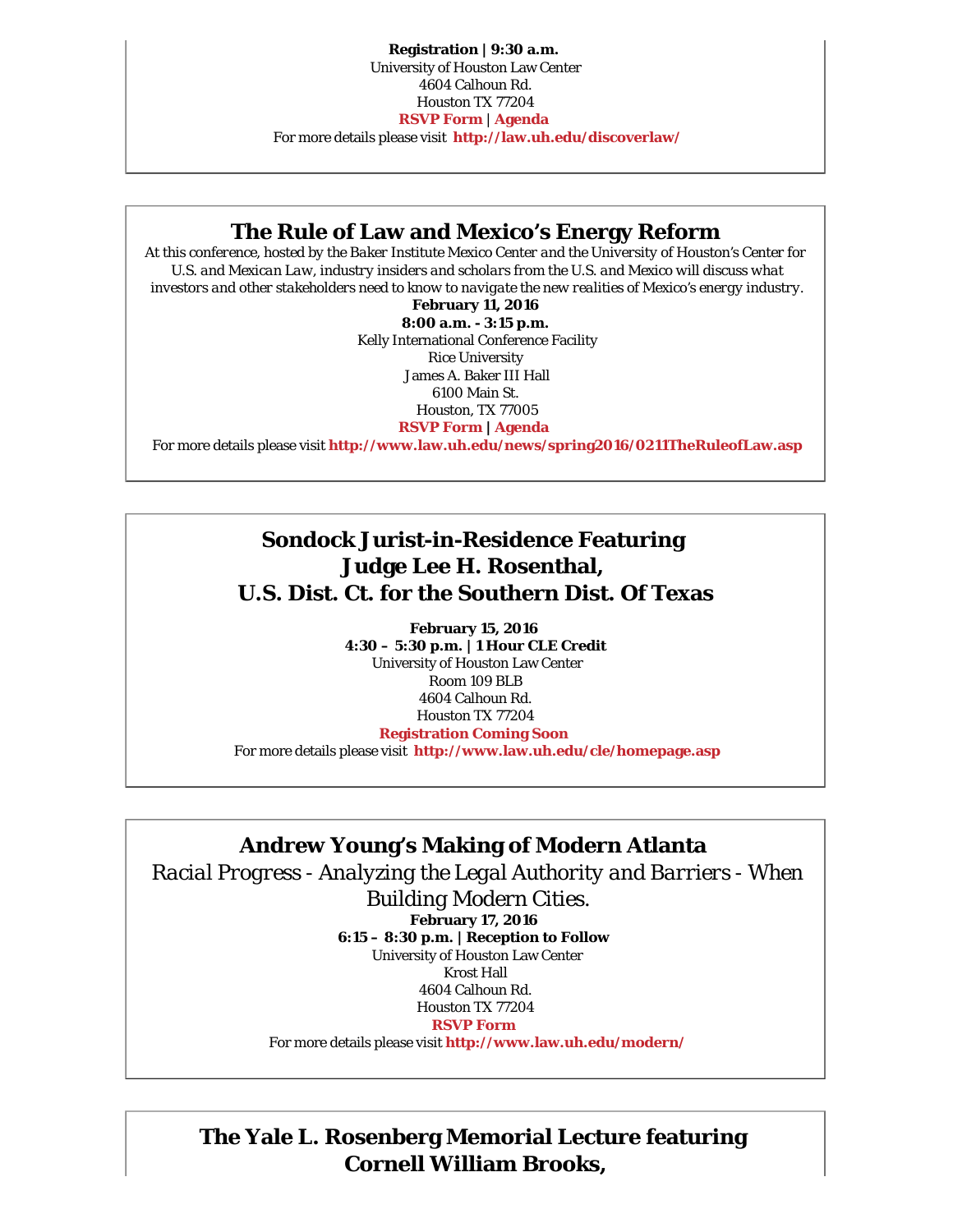**Registration | 9:30 a.m.** University of Houston Law Center 4604 Calhoun Rd. Houston TX 77204 **[RSVP Form](http://bit.ly/1RPxyMX)** | **[Agenda](http://law.uh.edu/discoverlaw/Agenda.pdf)** For more details please visit **<http://law.uh.edu/discoverlaw/>**

### **The Rule of Law and Mexico's Energy Reform**

*At this conference, hosted by the Baker Institute Mexico Center and the University of Houston's Center for U.S. and Mexican Law, industry insiders and scholars from the U.S. and Mexico will discuss what investors and other stakeholders need to know to navigate the new realities of Mexico's energy industry.*

**February 11, 2016**

**8:00 a.m. - 3:15 p.m.** Kelly International Conference Facility Rice University James A. Baker III Hall 6100 Main St. Houston, TX 77005 **[RSVP Form](http://bakerinstitute.org/events/register/1762/?submit=RSVP+Now) | [Agenda](http://bakerinstitute.org/events/1762/?utm_source=Baker+Institute+News&utm_campaign=e4a9b38d26-MEX-Invite-RuleofLaw-011416&utm_medium=email&utm_term=0_b90eee39d1-e4a9b38d26-390460025)**

For more details please visit **<http://www.law.uh.edu/news/spring2016/0211TheRuleofLaw.asp>**

# **Sondock Jurist-in-Residence Featuring Judge Lee H. Rosenthal, U.S. Dist. Ct. for the Southern Dist. Of Texas**

**February 15, 2016 4:30 – 5:30 p.m. | 1 Hour CLE Credit** University of Houston Law Center Room 109 BLB 4604 Calhoun Rd. Houston TX 77204 **[Registration Coming Soon](https://www.law.uh.edu/cle/2016Feb17/homepage.asp)**

For more details please visit **<http://www.law.uh.edu/cle/homepage.asp>**

# **Andrew Young's Making of Modern Atlanta**

*Racial Progress - Analyzing the Legal Authority and Barriers - When*

 *Building Modern Cities.* **February 17, 2016 6:15 – 8:30 p.m. | Reception to Follow** University of Houston Law Center Krost Hall 4604 Calhoun Rd. Houston TX 77204 **[RSVP Form](https://www.law.uh.edu/cle/2016Feb17/homepage.asp)**

### For more details please visit **<http://www.law.uh.edu/modern/>**

**The Yale L. Rosenberg Memorial Lecture featuring Cornell William Brooks,**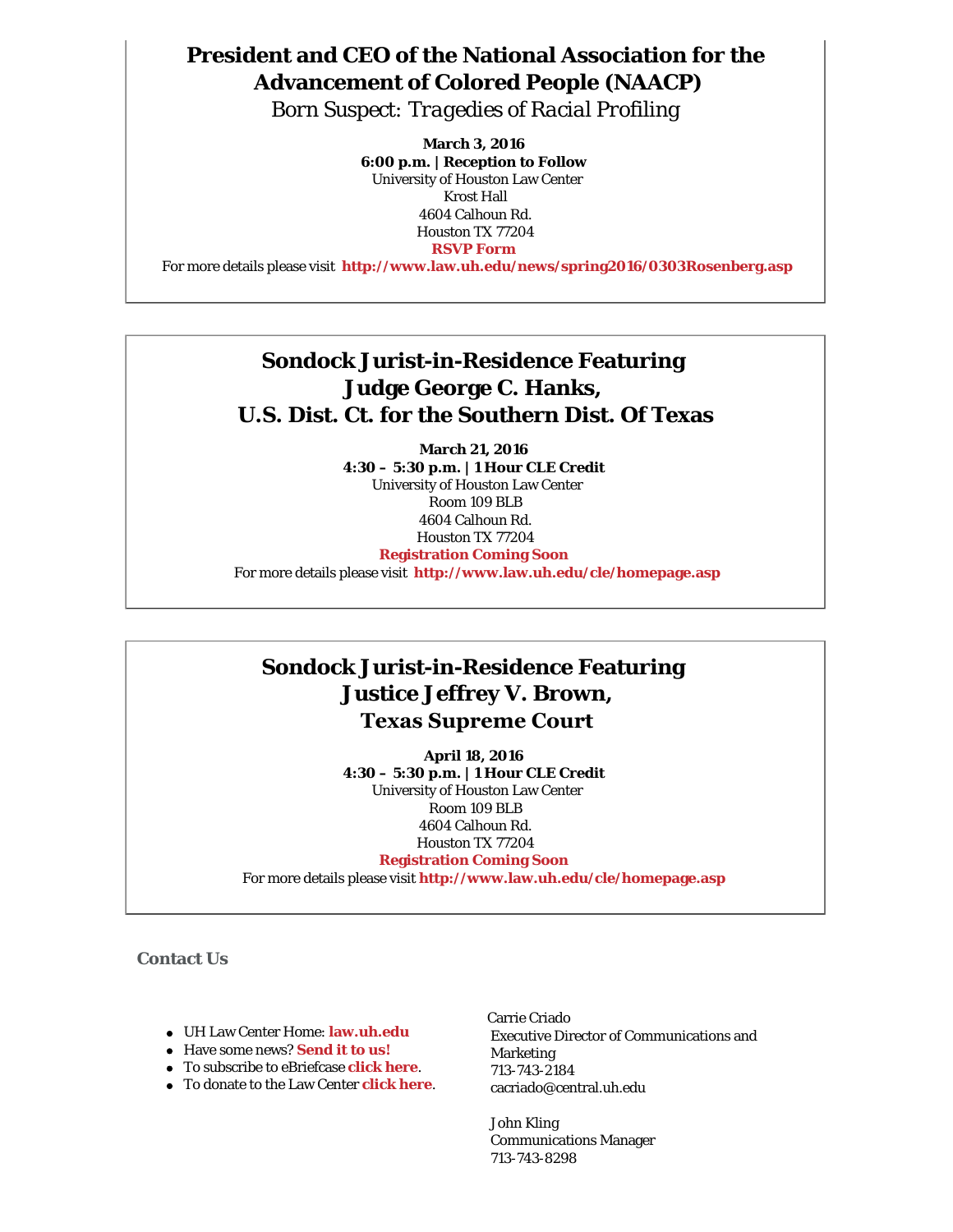# **President and CEO of the National Association for the Advancement of Colored People (NAACP)**

*Born Suspect: Tragedies of Racial Profiling*

**March 3, 2016 6:00 p.m. | Reception to Follow** University of Houston Law Center Krost Hall 4604 Calhoun Rd. Houston TX 77204 **[RSVP Form](https://www.law.uh.edu/alumni/rsvp/)**

For more details please visit **<http://www.law.uh.edu/news/spring2016/0303Rosenberg.asp>**

# **Sondock Jurist-in-Residence Featuring Judge George C. Hanks, U.S. Dist. Ct. for the Southern Dist. Of Texas**

**March 21, 2016 4:30 – 5:30 p.m. | 1 Hour CLE Credit** University of Houston Law Center Room 109 BLB 4604 Calhoun Rd. Houston TX 77204 **[Registration Coming Soon](https://www.law.uh.edu/cle/2016Feb17/homepage.asp)**

For more details please visit **<http://www.law.uh.edu/cle/homepage.asp>**

## **Sondock Jurist-in-Residence Featuring Justice Jeffrey V. Brown, Texas Supreme Court**

**April 18, 2016 4:30 – 5:30 p.m. | 1 Hour CLE Credit** University of Houston Law Center Room 109 BLB 4604 Calhoun Rd. Houston TX 77204 **[Registration Coming Soon](https://www.law.uh.edu/cle/2016Feb17/homepage.asp)**

For more details please visit **<http://www.law.uh.edu/cle/homepage.asp>**

**Contact Us**

- UH Law Center Home: **[law.uh.edu](http://www.law.uh.edu/)**
- Have some news? **[Send it to us!](http://www.law.uh.edu/news/for-the-media.asp)**
- To subscribe to eBriefcase **[click here](https://www.law.uh.edu/alumni/sign-up-ebriefcase.asp)**.
- To donate to the Law Center **[click here](https://giving.uh.edu/law/)**.

Carrie Criado Executive Director of Communications and Marketing 713-743-2184 cacriado@central.uh.edu

 John Kling Communications Manager 713-743-8298